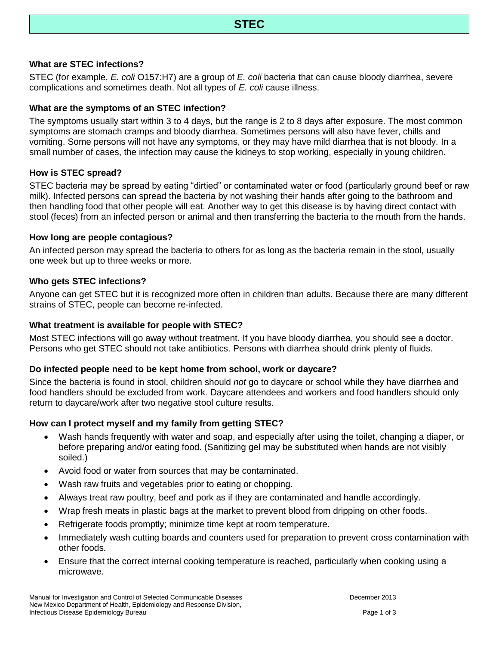### **What are STEC infections?**

STEC (for example, *E. coli* O157:H7) are a group of *E. coli* bacteria that can cause bloody diarrhea, severe complications and sometimes death. Not all types of *E. coli* cause illness.

#### **What are the symptoms of an STEC infection?**

The symptoms usually start within 3 to 4 days, but the range is 2 to 8 days after exposure. The most common symptoms are stomach cramps and bloody diarrhea. Sometimes persons will also have fever, chills and vomiting. Some persons will not have any symptoms, or they may have mild diarrhea that is not bloody. In a small number of cases, the infection may cause the kidneys to stop working, especially in young children.

### **How is STEC spread?**

STEC bacteria may be spread by eating "dirtied" or contaminated water or food (particularly ground beef or raw milk). Infected persons can spread the bacteria by not washing their hands after going to the bathroom and then handling food that other people will eat. Another way to get this disease is by having direct contact with stool (feces) from an infected person or animal and then transferring the bacteria to the mouth from the hands.

#### **How long are people contagious?**

An infected person may spread the bacteria to others for as long as the bacteria remain in the stool, usually one week but up to three weeks or more.

#### **Who gets STEC infections?**

Anyone can get STEC but it is recognized more often in children than adults. Because there are many different strains of STEC, people can become re-infected.

#### **What treatment is available for people with STEC?**

Most STEC infections will go away without treatment. If you have bloody diarrhea, you should see a doctor. Persons who get STEC should not take antibiotics. Persons with diarrhea should drink plenty of fluids.

# **Do infected people need to be kept home from school, work or daycare?**

Since the bacteria is found in stool, children should *not* go to daycare or school while they have diarrhea and food handlers should be excluded from work. Daycare attendees and workers and food handlers should only return to daycare/work after two negative stool culture results.

# **How can I protect myself and my family from getting STEC?**

- Wash hands frequently with water and soap, and especially after using the toilet, changing a diaper, or before preparing and/or eating food. (Sanitizing gel may be substituted when hands are not visibly soiled.)
- Avoid food or water from sources that may be contaminated.
- Wash raw fruits and vegetables prior to eating or chopping.
- Always treat raw poultry, beef and pork as if they are contaminated and handle accordingly.
- Wrap fresh meats in plastic bags at the market to prevent blood from dripping on other foods.
- Refrigerate foods promptly; minimize time kept at room temperature.
- Immediately wash cutting boards and counters used for preparation to prevent cross contamination with other foods.
- Ensure that the correct internal cooking temperature is reached, particularly when cooking using a microwave.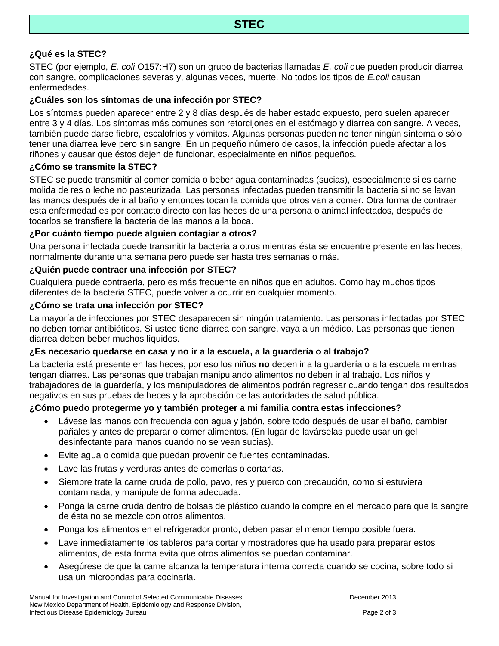# **¿Qué es la STEC?**

STEC (por ejemplo, *E. coli* O157:H7) son un grupo de bacterias llamadas *E. coli* que pueden producir diarrea con sangre, complicaciones severas y, algunas veces, muerte. No todos los tipos de *E.coli* causan enfermedades.

#### **¿Cuáles son los síntomas de una infección por STEC?**

Los síntomas pueden aparecer entre 2 y 8 días después de haber estado expuesto, pero suelen aparecer entre 3 y 4 días. Los síntomas más comunes son retorcijones en el estómago y diarrea con sangre. A veces, también puede darse fiebre, escalofríos y vómitos. Algunas personas pueden no tener ningún síntoma o sólo tener una diarrea leve pero sin sangre. En un pequeño número de casos, la infección puede afectar a los riñones y causar que éstos dejen de funcionar, especialmente en niños pequeños.

### **¿Cómo se transmite la STEC?**

STEC se puede transmitir al comer comida o beber agua contaminadas (sucias), especialmente si es carne molida de res o leche no pasteurizada. Las personas infectadas pueden transmitir la bacteria si no se lavan las manos después de ir al baño y entonces tocan la comida que otros van a comer. Otra forma de contraer esta enfermedad es por contacto directo con las heces de una persona o animal infectados, después de tocarlos se transfiere la bacteria de las manos a la boca.

### **¿Por cuánto tiempo puede alguien contagiar a otros?**

Una persona infectada puede transmitir la bacteria a otros mientras ésta se encuentre presente en las heces, normalmente durante una semana pero puede ser hasta tres semanas o más.

### **¿Quién puede contraer una infección por STEC?**

Cualquiera puede contraerla, pero es más frecuente en niños que en adultos. Como hay muchos tipos diferentes de la bacteria STEC, puede volver a ocurrir en cualquier momento.

### **¿Cómo se trata una infección por STEC?**

La mayoría de infecciones por STEC desaparecen sin ningún tratamiento. Las personas infectadas por STEC no deben tomar antibióticos. Si usted tiene diarrea con sangre, vaya a un médico. Las personas que tienen diarrea deben beber muchos líquidos.

# **¿Es necesario quedarse en casa y no ir a la escuela, a la guardería o al trabajo?**

La bacteria está presente en las heces, por eso los niños **no** deben ir a la guardería o a la escuela mientras tengan diarrea. Las personas que trabajan manipulando alimentos no deben ir al trabajo. Los niños y trabajadores de la guardería, y los manipuladores de alimentos podrán regresar cuando tengan dos resultados negativos en sus pruebas de heces y la aprobación de las autoridades de salud pública.

#### **¿Cómo puedo protegerme yo y también proteger a mi familia contra estas infecciones?**

- Lávese las manos con frecuencia con agua y jabón, sobre todo después de usar el baño, cambiar pañales y antes de preparar o comer alimentos. (En lugar de lavárselas puede usar un gel desinfectante para manos cuando no se vean sucias).
- Evite agua o comida que puedan provenir de fuentes contaminadas.
- Lave las frutas y verduras antes de comerlas o cortarlas.
- Siempre trate la carne cruda de pollo, pavo, res y puerco con precaución, como si estuviera contaminada, y manipule de forma adecuada.
- Ponga la carne cruda dentro de bolsas de plástico cuando la compre en el mercado para que la sangre de ésta no se mezcle con otros alimentos.
- Ponga los alimentos en el refrigerador pronto, deben pasar el menor tiempo posible fuera.
- Lave inmediatamente los tableros para cortar y mostradores que ha usado para preparar estos alimentos, de esta forma evita que otros alimentos se puedan contaminar.
- Asegúrese de que la carne alcanza la temperatura interna correcta cuando se cocina, sobre todo si usa un microondas para cocinarla.